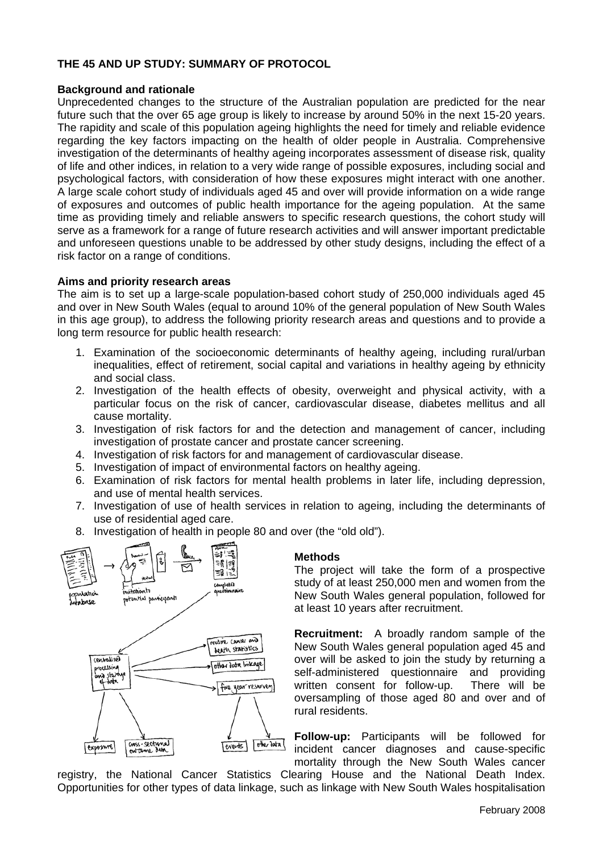# **THE 45 AND UP STUDY: SUMMARY OF PROTOCOL**

### **Background and rationale**

Unprecedented changes to the structure of the Australian population are predicted for the near future such that the over 65 age group is likely to increase by around 50% in the next 15-20 years. The rapidity and scale of this population ageing highlights the need for timely and reliable evidence regarding the key factors impacting on the health of older people in Australia. Comprehensive investigation of the determinants of healthy ageing incorporates assessment of disease risk, quality of life and other indices, in relation to a very wide range of possible exposures, including social and psychological factors, with consideration of how these exposures might interact with one another. A large scale cohort study of individuals aged 45 and over will provide information on a wide range of exposures and outcomes of public health importance for the ageing population. At the same time as providing timely and reliable answers to specific research questions, the cohort study will serve as a framework for a range of future research activities and will answer important predictable and unforeseen questions unable to be addressed by other study designs, including the effect of a risk factor on a range of conditions.

### **Aims and priority research areas**

The aim is to set up a large-scale population-based cohort study of 250,000 individuals aged 45 and over in New South Wales (equal to around 10% of the general population of New South Wales in this age group), to address the following priority research areas and questions and to provide a long term resource for public health research:

- 1. Examination of the socioeconomic determinants of healthy ageing, including rural/urban inequalities, effect of retirement, social capital and variations in healthy ageing by ethnicity and social class.
- 2. Investigation of the health effects of obesity, overweight and physical activity, with a particular focus on the risk of cancer, cardiovascular disease, diabetes mellitus and all cause mortality.
- 3. Investigation of risk factors for and the detection and management of cancer, including investigation of prostate cancer and prostate cancer screening.
- 4. Investigation of risk factors for and management of cardiovascular disease.
- 5. Investigation of impact of environmental factors on healthy ageing.
- 6. Examination of risk factors for mental health problems in later life, including depression, and use of mental health services.
- 7. Investigation of use of health services in relation to ageing, including the determinants of use of residential aged care.
- 8. Investigation of health in people 80 a nd over (the "old old").



## **ethods M**

The project will take the form of a prospective study of at least 250,000 men and women from the New South Wales general population, followed for at least 10 years after recruitment.

**ecruitment:** A broadly random sample of the **R** New South Wales general population aged 45 and over will be asked to join the study by returning a self-administered questionnaire and providing written consent for follow-up. There will be oversampling of those aged 80 and over and of rural residents.

Follow-up: Participants will be followed for incident cancer diagnoses and cause-specific mortality through the New South Wales cancer

registry, the National Cancer Statistics Clearing House and the National Death Index. Opportunities for other types of data linkage, such as linkage with New South Wales hospitalisation